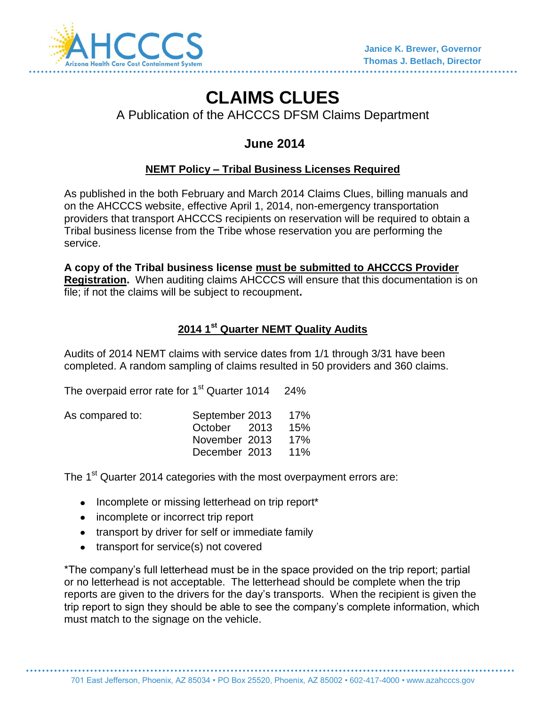

# **CLAIMS CLUES**

A Publication of the AHCCCS DFSM Claims Department

# **June 2014**

# **NEMT Policy – Tribal Business Licenses Required**

As published in the both February and March 2014 Claims Clues, billing manuals and on the AHCCCS website, effective April 1, 2014, non-emergency transportation providers that transport AHCCCS recipients on reservation will be required to obtain a Tribal business license from the Tribe whose reservation you are performing the service.

**A copy of the Tribal business license must be submitted to AHCCCS Provider Registration.** When auditing claims AHCCCS will ensure that this documentation is on file; if not the claims will be subject to recoupment**.**

# **2014 1st Quarter NEMT Quality Audits**

Audits of 2014 NEMT claims with service dates from 1/1 through 3/31 have been completed. A random sampling of claims resulted in 50 providers and 360 claims.

The overpaid error rate for  $1<sup>st</sup>$  Quarter 1014 24%

| As compared to: | September 2013 | - 17% |
|-----------------|----------------|-------|
|                 | October 2013   | 15%   |
|                 | November 2013  | 17%   |
|                 | December 2013  | 11%   |

The 1<sup>st</sup> Quarter 2014 categories with the most overpayment errors are:

- Incomplete or missing letterhead on trip report\*
- incomplete or incorrect trip report
- transport by driver for self or immediate family
- transport for service(s) not covered

\*The company's full letterhead must be in the space provided on the trip report; partial or no letterhead is not acceptable. The letterhead should be complete when the trip reports are given to the drivers for the day's transports. When the recipient is given the trip report to sign they should be able to see the company's complete information, which must match to the signage on the vehicle.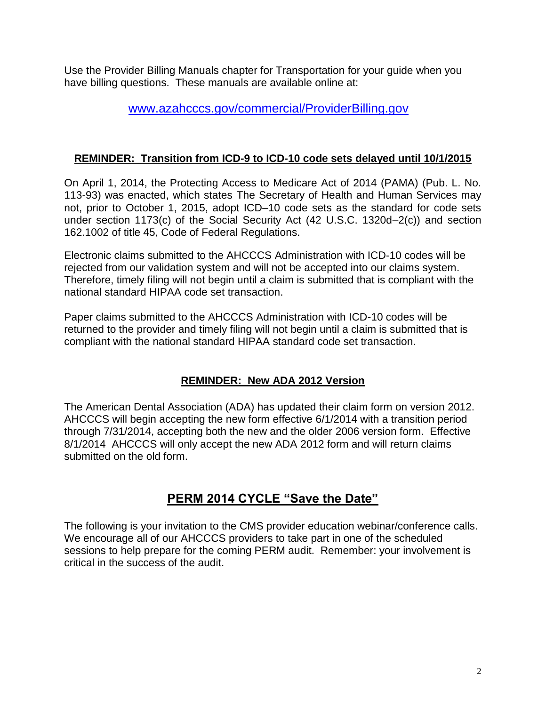Use the Provider Billing Manuals chapter for Transportation for your guide when you have billing questions. These manuals are available online at:

# [www.azahcccs.gov/commercial/ProviderBilling.gov](http://www.azahcccs.gov/commercial/ProviderBilling.gov)

#### **REMINDER: Transition from ICD-9 to ICD-10 code sets delayed until 10/1/2015**

On April 1, 2014, the Protecting Access to Medicare Act of 2014 (PAMA) (Pub. L. No. 113-93) was enacted, which states The Secretary of Health and Human Services may not, prior to October 1, 2015, adopt ICD–10 code sets as the standard for code sets under section 1173(c) of the Social Security Act (42 U.S.C. 1320d–2(c)) and section 162.1002 of title 45, Code of Federal Regulations.

Electronic claims submitted to the AHCCCS Administration with ICD-10 codes will be rejected from our validation system and will not be accepted into our claims system. Therefore, timely filing will not begin until a claim is submitted that is compliant with the national standard HIPAA code set transaction.

Paper claims submitted to the AHCCCS Administration with ICD-10 codes will be returned to the provider and timely filing will not begin until a claim is submitted that is compliant with the national standard HIPAA standard code set transaction.

#### **REMINDER: New ADA 2012 Version**

The American Dental Association (ADA) has updated their claim form on version 2012. AHCCCS will begin accepting the new form effective 6/1/2014 with a transition period through 7/31/2014, accepting both the new and the older 2006 version form. Effective 8/1/2014 AHCCCS will only accept the new ADA 2012 form and will return claims submitted on the old form.

# **PERM 2014 CYCLE "Save the Date"**

The following is your invitation to the CMS provider education webinar/conference calls. We encourage all of our AHCCCS providers to take part in one of the scheduled sessions to help prepare for the coming PERM audit. Remember: your involvement is critical in the success of the audit.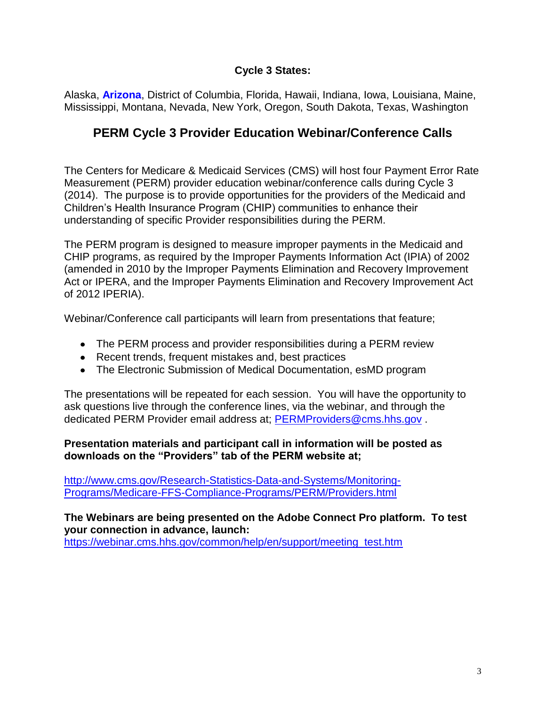#### **Cycle 3 States:**

Alaska, **Arizona**, District of Columbia, Florida, Hawaii, Indiana, Iowa, Louisiana, Maine, Mississippi, Montana, Nevada, New York, Oregon, South Dakota, Texas, Washington

# **PERM Cycle 3 Provider Education Webinar/Conference Calls**

The Centers for Medicare & Medicaid Services (CMS) will host four Payment Error Rate Measurement (PERM) provider education webinar/conference calls during Cycle 3 (2014). The purpose is to provide opportunities for the providers of the Medicaid and Children's Health Insurance Program (CHIP) communities to enhance their understanding of specific Provider responsibilities during the PERM.

The PERM program is designed to measure improper payments in the Medicaid and CHIP programs, as required by the Improper Payments Information Act (IPIA) of 2002 (amended in 2010 by the Improper Payments Elimination and Recovery Improvement Act or IPERA, and the Improper Payments Elimination and Recovery Improvement Act of 2012 IPERIA).

Webinar/Conference call participants will learn from presentations that feature;

- The PERM process and provider responsibilities during a PERM review
- Recent trends, frequent mistakes and, best practices
- The Electronic Submission of Medical Documentation, esMD program

The presentations will be repeated for each session. You will have the opportunity to ask questions live through the conference lines, via the webinar, and through the dedicated PERM Provider email address at; [PERMProviders@cms.hhs.gov](mailto:PERMProviders@cms.hhs.gov) .

#### **Presentation materials and participant call in information will be posted as downloads on the "Providers" tab of the PERM website at;**

[http://www.cms.gov/Research-Statistics-Data-and-Systems/Monitoring-](http://www.cms.gov/Research-Statistics-Data-and-Systems/Monitoring-Programs/Medicare-FFS-Compliance-Programs/PERM/Providers.html)[Programs/Medicare-FFS-Compliance-Programs/PERM/Providers.html](http://www.cms.gov/Research-Statistics-Data-and-Systems/Monitoring-Programs/Medicare-FFS-Compliance-Programs/PERM/Providers.html) 

**The Webinars are being presented on the Adobe Connect Pro platform. To test your connection in advance, launch:** [https://webinar.cms.hhs.gov/common/help/en/support/meeting\\_test.htm](https://webinar.cms.hhs.gov/common/help/en/support/meeting_test.htm)

3